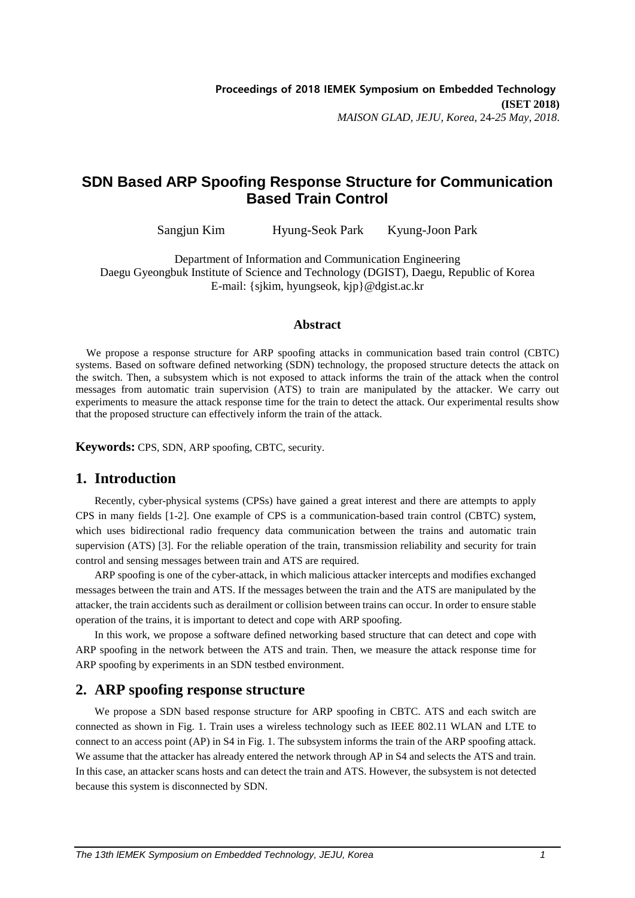# **SDN Based ARP Spoofing Response Structure for Communication Based Train Control**

Sangjun Kim Hyung-Seok Park Kyung-Joon Park

Department of Information and Communication Engineering Daegu Gyeongbuk Institute of Science and Technology (DGIST), Daegu, Republic of Korea E-mail: {sjkim, hyungseok, kjp}@dgist.ac.kr

### **Abstract**

We propose a response structure for ARP spoofing attacks in communication based train control (CBTC) systems. Based on software defined networking (SDN) technology, the proposed structure detects the attack on the switch. Then, a subsystem which is not exposed to attack informs the train of the attack when the control messages from automatic train supervision (ATS) to train are manipulated by the attacker. We carry out experiments to measure the attack response time for the train to detect the attack. Our experimental results show that the proposed structure can effectively inform the train of the attack.

**Keywords:** CPS, SDN, ARP spoofing, CBTC, security.

# **1. Introduction**

Recently, cyber-physical systems (CPSs) have gained a great interest and there are attempts to apply CPS in many fields [1-2]. One example of CPS is a communication-based train control (CBTC) system, which uses bidirectional radio frequency data communication between the trains and automatic train supervision (ATS) [3]. For the reliable operation of the train, transmission reliability and security for train control and sensing messages between train and ATS are required.

ARP spoofing is one of the cyber-attack, in which malicious attacker intercepts and modifies exchanged messages between the train and ATS. If the messages between the train and the ATS are manipulated by the attacker, the train accidents such as derailment or collision between trains can occur. In order to ensure stable operation of the trains, it is important to detect and cope with ARP spoofing.

In this work, we propose a software defined networking based structure that can detect and cope with ARP spoofing in the network between the ATS and train. Then, we measure the attack response time for ARP spoofing by experiments in an SDN testbed environment.

# **2. ARP spoofing response structure**

We propose a SDN based response structure for ARP spoofing in CBTC. ATS and each switch are connected as shown in Fig. 1. Train uses a wireless technology such as IEEE 802.11 WLAN and LTE to connect to an access point (AP) in S4 in Fig. 1. The subsystem informs the train of the ARP spoofing attack. We assume that the attacker has already entered the network through AP in S4 and selects the ATS and train. In this case, an attacker scans hosts and can detect the train and ATS. However, the subsystem is not detected because this system is disconnected by SDN.